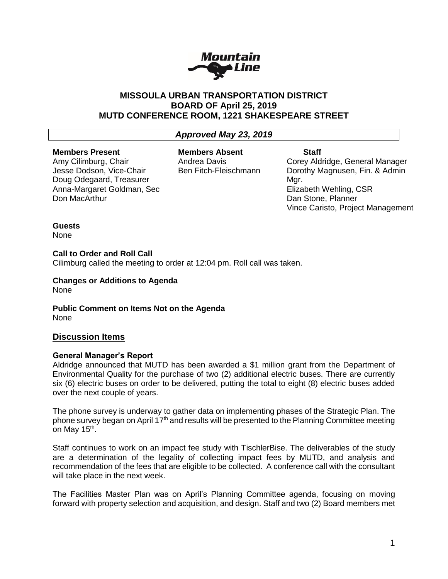

# **MISSOULA URBAN TRANSPORTATION DISTRICT BOARD OF April 25, 2019 MUTD CONFERENCE ROOM, 1221 SHAKESPEARE STREET**

# *Approved May 23, 2019*

### **Members Present**

Amy Cilimburg, Chair Jesse Dodson, Vice-Chair Doug Odegaard, Treasurer Anna-Margaret Goldman, Sec Don MacArthur

**Members Absent** Andrea Davis Ben Fitch-Fleischmann

# **Staff**

Corey Aldridge, General Manager Dorothy Magnusen, Fin. & Admin Mar. Elizabeth Wehling, CSR Dan Stone, Planner Vince Caristo, Project Management

## **Guests**

None

**Call to Order and Roll Call**

Cilimburg called the meeting to order at 12:04 pm. Roll call was taken.

**Changes or Additions to Agenda** None

**Public Comment on Items Not on the Agenda** None

# **Discussion Items**

# **General Manager's Report**

Aldridge announced that MUTD has been awarded a \$1 million grant from the Department of Environmental Quality for the purchase of two (2) additional electric buses. There are currently six (6) electric buses on order to be delivered, putting the total to eight (8) electric buses added over the next couple of years.

The phone survey is underway to gather data on implementing phases of the Strategic Plan. The phone survey began on April 17<sup>th</sup> and results will be presented to the Planning Committee meeting on May 15<sup>th</sup>.

Staff continues to work on an impact fee study with TischlerBise. The deliverables of the study are a determination of the legality of collecting impact fees by MUTD, and analysis and recommendation of the fees that are eligible to be collected. A conference call with the consultant will take place in the next week.

The Facilities Master Plan was on April's Planning Committee agenda, focusing on moving forward with property selection and acquisition, and design. Staff and two (2) Board members met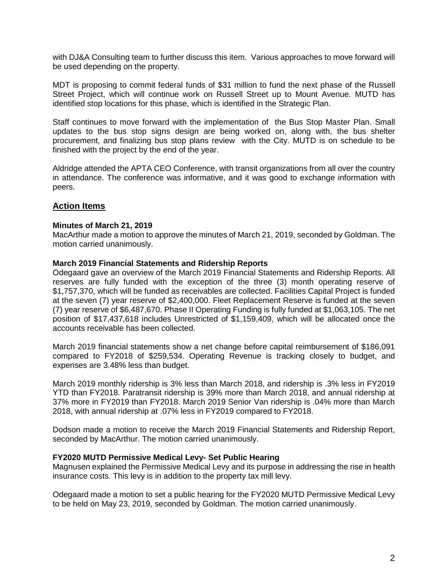with DJ&A Consulting team to further discuss this item. Various approaches to move forward will be used depending on the property.

MDT is proposing to commit federal funds of \$31 million to fund the next phase of the Russell Street Project, which will continue work on Russell Street up to Mount Avenue. MUTD has identified stop locations for this phase, which is identified in the Strategic Plan.

Staff continues to move forward with the implementation of the Bus Stop Master Plan. Small updates to the bus stop signs design are being worked on, along with, the bus shelter procurement, and finalizing bus stop plans review with the City. MUTD is on schedule to be finished with the project by the end of the year.

Aldridge attended the APTA CEO Conference, with transit organizations from all over the country in attendance. The conference was informative, and it was good to exchange information with peers.

# **Action Items**

#### **Minutes of March 21, 2019**

MacArthur made a motion to approve the minutes of March 21, 2019, seconded by Goldman. The motion carried unanimously.

#### **March 2019 Financial Statements and Ridership Reports**

Odegaard gave an overview of the March 2019 Financial Statements and Ridership Reports. All reserves are fully funded with the exception of the three (3) month operating reserve of \$1,757,370, which will be funded as receivables are collected. Facilities Capital Project is funded at the seven (7) year reserve of \$2,400,000. Fleet Replacement Reserve is funded at the seven (7) year reserve of \$6,487,670. Phase II Operating Funding is fully funded at \$1,063,105. The net position of \$17,437,618 includes Unrestricted of \$1,159,409, which will be allocated once the accounts receivable has been collected.

March 2019 financial statements show a net change before capital reimbursement of \$186,091 compared to FY2018 of \$259,534. Operating Revenue is tracking closely to budget, and expenses are 3.48% less than budget.

March 2019 monthly ridership is 3% less than March 2018, and ridership is .3% less in FY2019 YTD than FY2018. Paratransit ridership is 39% more than March 2018, and annual ridership at 37% more in FY2019 than FY2018. March 2019 Senior Van ridership is .04% more than March 2018, with annual ridership at .07% less in FY2019 compared to FY2018.

Dodson made a motion to receive the March 2019 Financial Statements and Ridership Report, seconded by MacArthur. The motion carried unanimously.

#### **FY2020 MUTD Permissive Medical Levy- Set Public Hearing**

Magnusen explained the Permissive Medical Levy and its purpose in addressing the rise in health insurance costs. This levy is in addition to the property tax mill levy.

Odegaard made a motion to set a public hearing for the FY2020 MUTD Permissive Medical Levy to be held on May 23, 2019, seconded by Goldman. The motion carried unanimously.